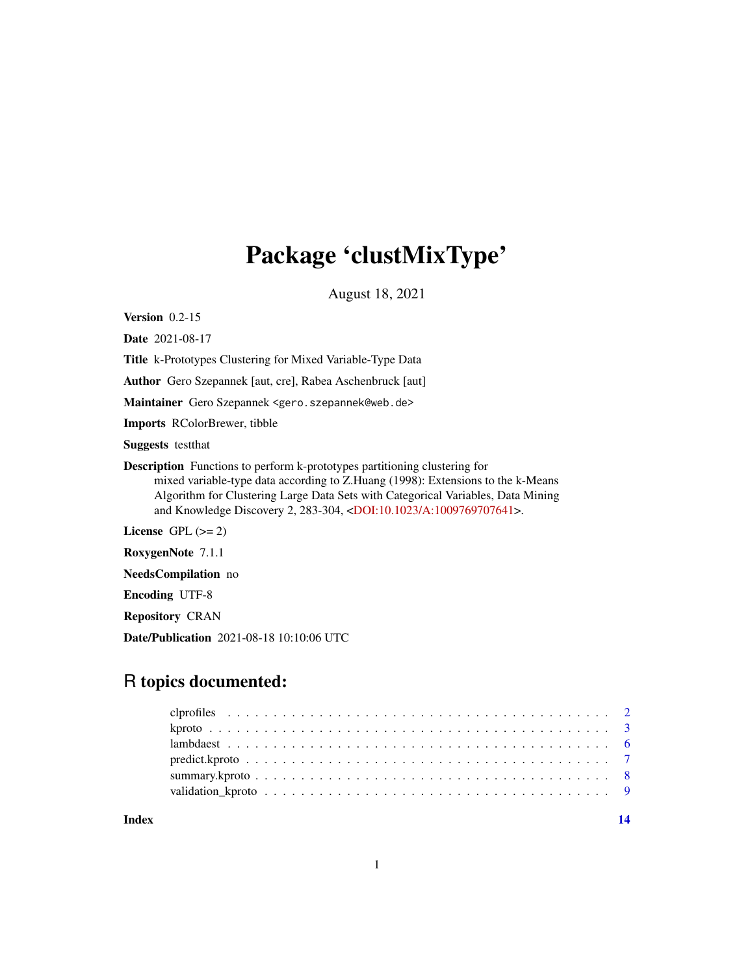## Package 'clustMixType'

August 18, 2021

<span id="page-0-0"></span>Version 0.2-15

Date 2021-08-17

Title k-Prototypes Clustering for Mixed Variable-Type Data

Author Gero Szepannek [aut, cre], Rabea Aschenbruck [aut]

Maintainer Gero Szepannek <gero.szepannek@web.de>

Imports RColorBrewer, tibble

Suggests testthat

Description Functions to perform k-prototypes partitioning clustering for mixed variable-type data according to Z.Huang (1998): Extensions to the k-Means Algorithm for Clustering Large Data Sets with Categorical Variables, Data Mining and Knowledge Discovery 2, 283-304, [<DOI:10.1023/A:1009769707641>](https://doi.org/10.1023/A:1009769707641).

License GPL  $(>= 2)$ 

RoxygenNote 7.1.1

NeedsCompilation no

Encoding UTF-8

Repository CRAN

Date/Publication 2021-08-18 10:10:06 UTC

## R topics documented:

**Index** 2008 **[14](#page-13-0)**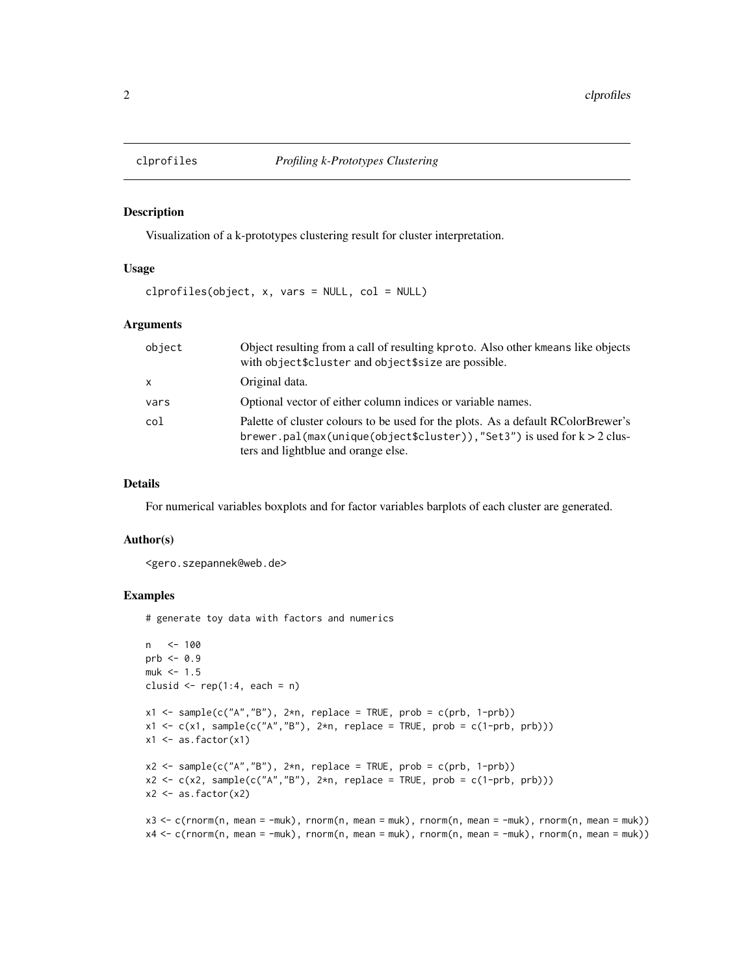<span id="page-1-0"></span>

#### Description

Visualization of a k-prototypes clustering result for cluster interpretation.

## Usage

clprofiles(object, x, vars = NULL, col = NULL)

## Arguments

| object       | Object resulting from a call of resulting kproto. Also other kmeans like objects<br>with object\$cluster and object\$size are possible.                                                              |
|--------------|------------------------------------------------------------------------------------------------------------------------------------------------------------------------------------------------------|
| $\mathsf{x}$ | Original data.                                                                                                                                                                                       |
| vars         | Optional vector of either column indices or variable names.                                                                                                                                          |
| col          | Palette of cluster colours to be used for the plots. As a default RColorBrewer's<br>brewer.pal(max(unique(object\$cluster)),"Set3") is used for $k > 2$ clus-<br>ters and lightblue and orange else. |

#### Details

For numerical variables boxplots and for factor variables barplots of each cluster are generated.

## Author(s)

<gero.szepannek@web.de>

## Examples

# generate toy data with factors and numerics

```
n <- 100
prb <-0.9muk < -1.5clusid \leq rep(1:4, each = n)
x1 \leq - sample(c("A","B"), 2*n, replace = TRUE, prob = c(prb, 1-prb))
x1 \leftarrow c(x1, sample(c("A", "B"), 2*n, replace = TRUE, prob = c(1-prb, prb)))x1 \leftarrow as.factor(x1)x2 \leq - sample(c("A","B"), 2 \nless n, replace = TRUE, prob = c(prb, 1-prb))
x2 \leq c(x2, sample(c("A", "B"), 2*n, replace = TRUE, prob = c(1-prob, prob)))x2 \leftarrow as.factor(x2)x3 <- c(rnorm(n, mean = -muk), rnorm(n, mean = muk), rnorm(n, mean = -muk), rnorm(n, mean = muk))
x4 <- c(rnorm(n, mean = -muk), rnorm(n, mean = muk), rnorm(n, mean = -muk), rnorm(n, mean = muk))
```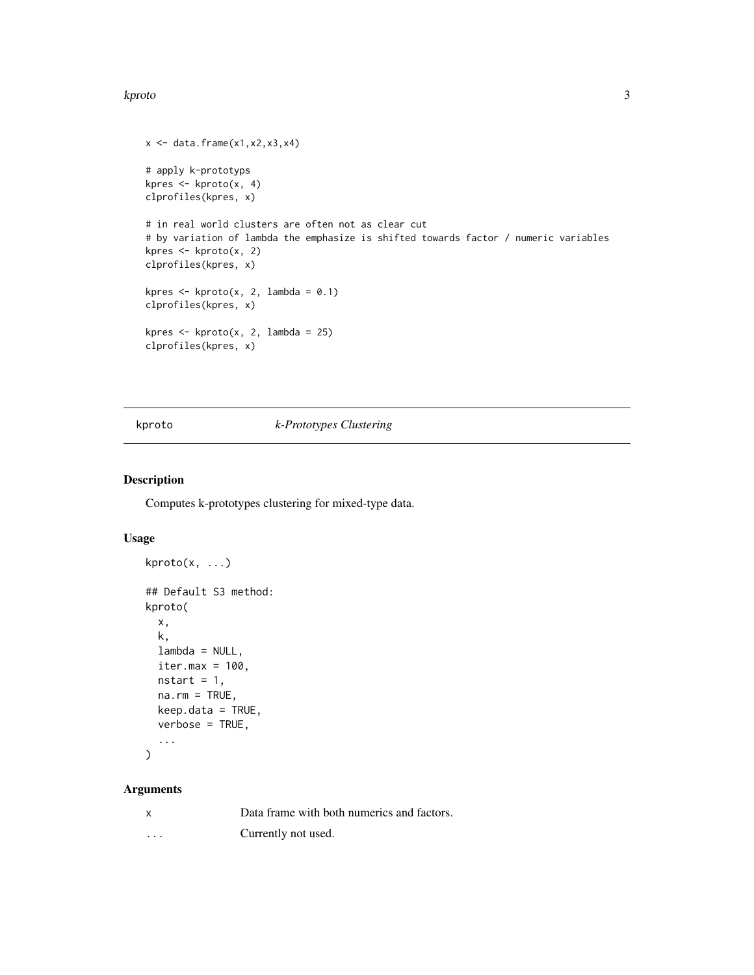#### <span id="page-2-0"></span>kproto 3

```
x \leftarrow \text{data}. frame(x1, x2, x3, x4)
# apply k-prototyps
kpres <- kproto(x, 4)
clprofiles(kpres, x)
# in real world clusters are often not as clear cut
# by variation of lambda the emphasize is shifted towards factor / numeric variables
kpres <- kproto(x, 2)
clprofiles(kpres, x)
kpres \leq kproto(x, 2, lambda = 0.1)
clprofiles(kpres, x)
kpres \leq kproto(x, 2, lambda = 25)
clprofiles(kpres, x)
```
## kproto *k-Prototypes Clustering*

## Description

Computes k-prototypes clustering for mixed-type data.

## Usage

```
kproto(x, ...)
## Default S3 method:
kproto(
 x,
 k,
 lambda = NULL,
 iter.max = 100.
 nstart = 1,
  na.rm = TRUE,keep.data = TRUE,
  verbose = TRUE,
  ...
)
```
## Arguments

| X        | Data frame with both numerics and factors. |
|----------|--------------------------------------------|
| $\cdots$ | Currently not used.                        |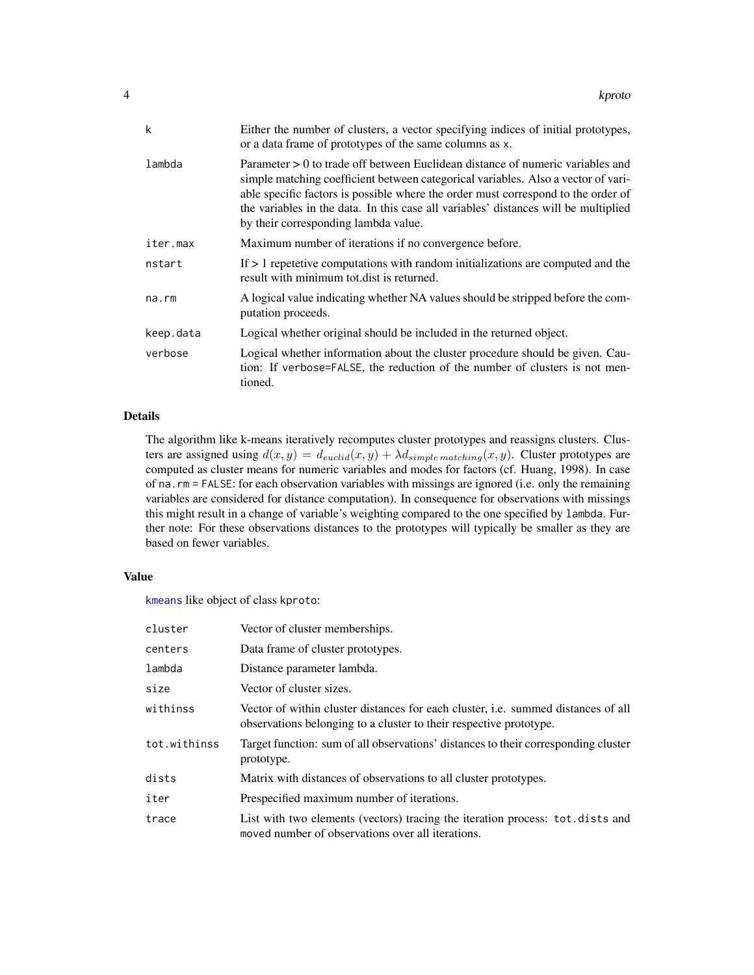<span id="page-3-0"></span>

| k         | Either the number of clusters, a vector specifying indices of initial prototypes,<br>or a data frame of prototypes of the same columns as x.                                                                                                                                                                                                                                              |
|-----------|-------------------------------------------------------------------------------------------------------------------------------------------------------------------------------------------------------------------------------------------------------------------------------------------------------------------------------------------------------------------------------------------|
| lambda    | Parameter $> 0$ to trade off between Euclidean distance of numeric variables and<br>simple matching coefficient between categorical variables. Also a vector of vari-<br>able specific factors is possible where the order must correspond to the order of<br>the variables in the data. In this case all variables' distances will be multiplied<br>by their corresponding lambda value. |
| iter.max  | Maximum number of iterations if no convergence before.                                                                                                                                                                                                                                                                                                                                    |
| nstart    | If $> 1$ repetetive computations with random initializations are computed and the<br>result with minimum tot dist is returned.                                                                                                                                                                                                                                                            |
| na.rm     | A logical value indicating whether NA values should be stripped before the com-<br>putation proceeds.                                                                                                                                                                                                                                                                                     |
| keep.data | Logical whether original should be included in the returned object.                                                                                                                                                                                                                                                                                                                       |
| verbose   | Logical whether information about the cluster procedure should be given. Cau-<br>tion: If verbose=FALSE, the reduction of the number of clusters is not men-<br>tioned.                                                                                                                                                                                                                   |

## Details

The algorithm like k-means iteratively recomputes cluster prototypes and reassigns clusters. Clusters are assigned using  $d(x, y) = d_{euclid}(x, y) + \lambda d_{simple\, matching}(x, y)$ . Cluster prototypes are computed as cluster means for numeric variables and modes for factors (cf. Huang, 1998). In case of na.rm = FALSE: for each observation variables with missings are ignored (i.e. only the remaining variables are considered for distance computation). In consequence for observations with missings this might result in a change of variable's weighting compared to the one specified by lambda. Further note: For these observations distances to the prototypes will typically be smaller as they are based on fewer variables.

## Value

[kmeans](#page-0-0) like object of class kproto:

| cluster      | Vector of cluster memberships.                                                                                                                                 |
|--------------|----------------------------------------------------------------------------------------------------------------------------------------------------------------|
| centers      | Data frame of cluster prototypes.                                                                                                                              |
| lambda       | Distance parameter lambda.                                                                                                                                     |
| size         | Vector of cluster sizes.                                                                                                                                       |
| withinss     | Vector of within cluster distances for each cluster, <i>i.e.</i> summed distances of all<br>observations belonging to a cluster to their respective prototype. |
| tot.withinss | Target function: sum of all observations' distances to their corresponding cluster<br>prototype.                                                               |
| dists        | Matrix with distances of observations to all cluster prototypes.                                                                                               |
| iter         | Prespecified maximum number of iterations.                                                                                                                     |
| trace        | List with two elements (vectors) tracing the iteration process: tot.dists and<br>moved number of observations over all iterations.                             |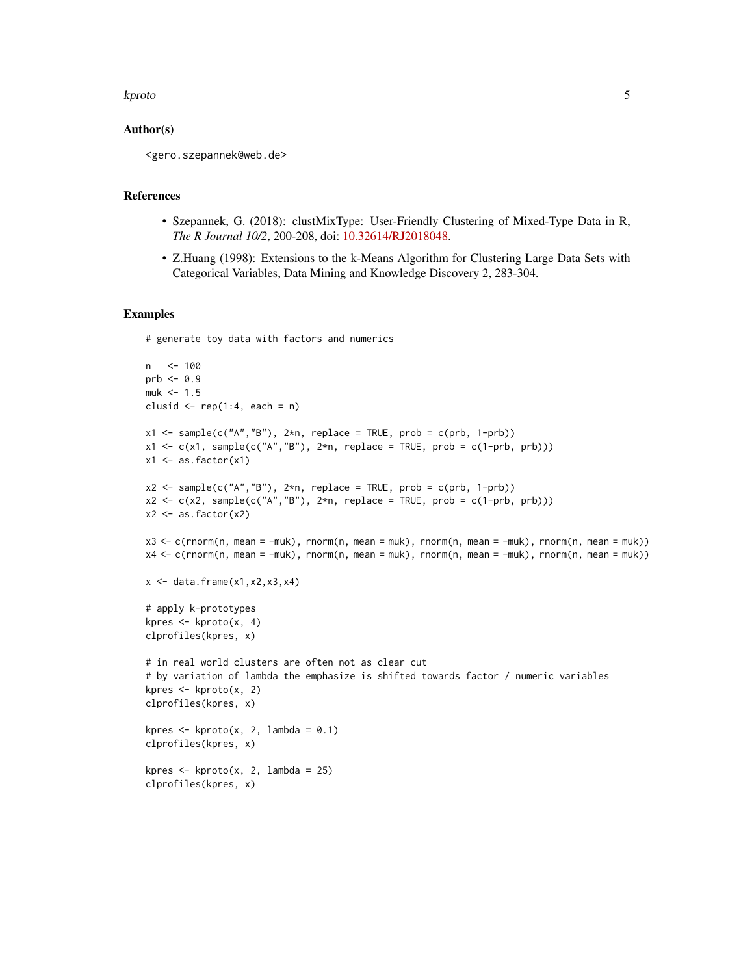#### kproto 50 to 50 kproto 50 kpc states and the states of the states of the states of the states  $5\,$

## Author(s)

<gero.szepannek@web.de>

## References

- Szepannek, G. (2018): clustMixType: User-Friendly Clustering of Mixed-Type Data in R, *The R Journal 10/2*, 200-208, doi: [10.32614/RJ2018048.](https://doi.org/10.32614/RJ-2018-048)
- Z.Huang (1998): Extensions to the k-Means Algorithm for Clustering Large Data Sets with Categorical Variables, Data Mining and Knowledge Discovery 2, 283-304.

## Examples

# generate toy data with factors and numerics

```
n <- 100
prb <- 0.9
muk < -1.5clusid \leq rep(1:4, each = n)
x1 <- sample(c("A","B"), 2*n, replace = TRUE, prob = c(prb, 1-prb))
x1 \leftarrow c(x1, sample(c("A", "B"), 2*n, replace = TRUE, prob = c(1-prob, prob)))x1 \leftarrow as.factor(x1)x2 <- sample(c("A","B"), 2*n, replace = TRUE, prob = c(prb, 1-prb))
x2 \leq c(x2, sample(c("A", "B"), 2*n, replace = TRUE, prob = c(1-prob, prob)))x2 \leftarrow as.factor(x2)x3 <- c(rnorm(n, mean = -muk), rnorm(n, mean = muk), rnorm(n, mean = -muk), rnorm(n, mean = muk))
x4 <- c(rnorm(n, mean = -muk), rnorm(n, mean = muk), rnorm(n, mean = -muk), rnorm(n, mean = muk))
x \leftarrow \text{data}. frame(x1, x2, x3, x4)
# apply k-prototypes
kpres \leq kproto(x, 4)
clprofiles(kpres, x)
# in real world clusters are often not as clear cut
# by variation of lambda the emphasize is shifted towards factor / numeric variables
kpres \leq kproto(x, 2)clprofiles(kpres, x)
kpres \leq kproto(x, 2, lambda = 0.1)
clprofiles(kpres, x)
kpres \leq kproto(x, 2, lambda = 25)
clprofiles(kpres, x)
```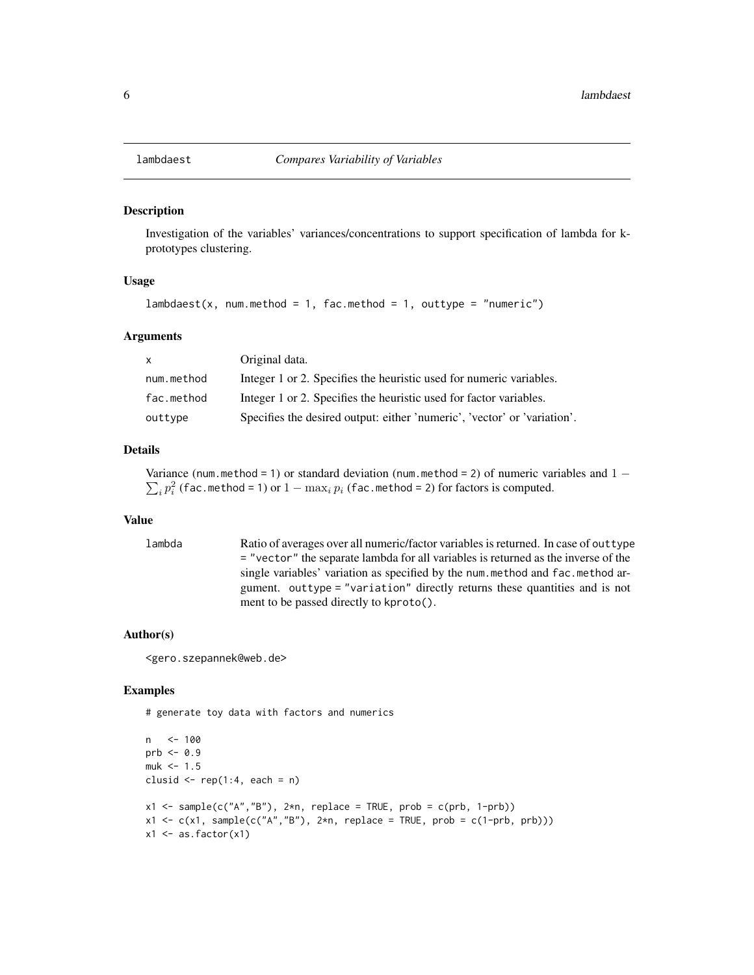<span id="page-5-0"></span>

## Description

Investigation of the variables' variances/concentrations to support specification of lambda for kprototypes clustering.

#### Usage

```
lambdaest(x, num.method = 1, fac.method = 1, outtype = "numeric")
```
#### Arguments

| $\mathsf{X}$ | Original data.                                                           |
|--------------|--------------------------------------------------------------------------|
| num.method   | Integer 1 or 2. Specifies the heuristic used for numeric variables.      |
| fac.method   | Integer 1 or 2. Specifies the heuristic used for factor variables.       |
| outtype      | Specifies the desired output: either 'numeric', 'vector' or 'variation'. |

## Details

Variance (num.method = 1) or standard deviation (num.method = 2) of numeric variables and  $1 \sum_i p_i^2$  (fac.method = 1) or  $1 - \max_i p_i$  (fac.method = 2) for factors is computed.

## Value

lambda Ratio of averages over all numeric/factor variables is returned. In case of outtype = "vector" the separate lambda for all variables is returned as the inverse of the single variables' variation as specified by the num.method and fac.method argument. outtype = "variation" directly returns these quantities and is not ment to be passed directly to kproto().

## Author(s)

<gero.szepannek@web.de>

## Examples

# generate toy data with factors and numerics

```
n <- 100
prb < -0.9muk < -1.5clusid \leq rep(1:4, each = n)
x1 \leftarrow sample(c("A", "B"), 2*n, replace = TRUE, prob = c(prb, 1-prob))x1 \leftarrow c(x1, sample(c("A", "B"), 2*n, replace = TRUE, prob = c(1-prob, prob)))x1 \leftarrow as.factor(x1)
```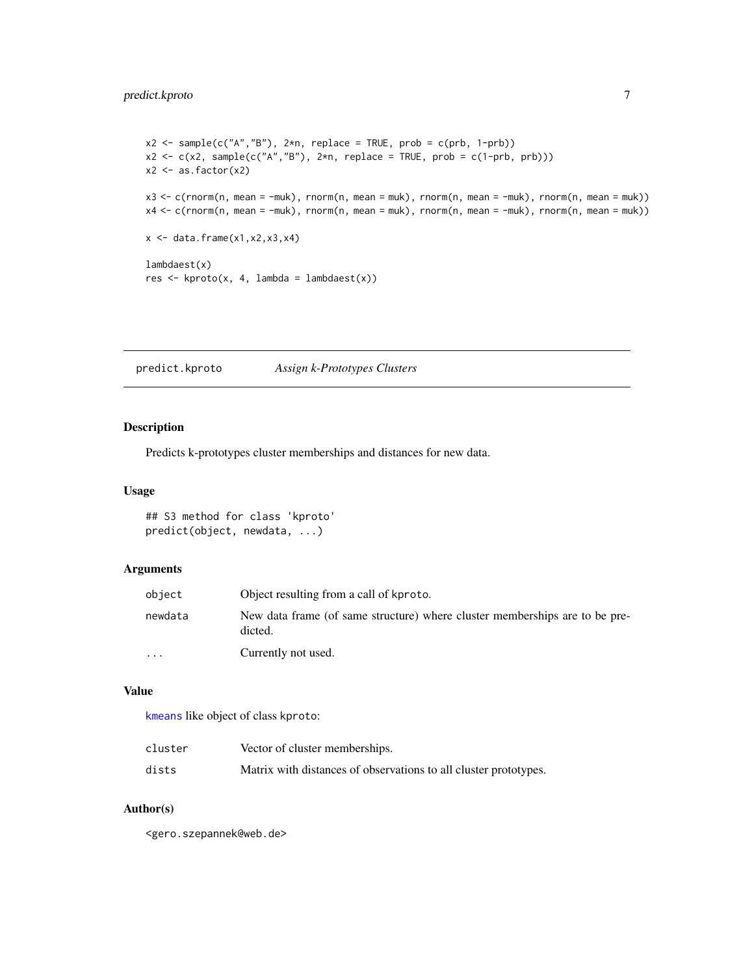```
x2 \leq - sample(c("A","B"), 2*n, replace = TRUE, prob = c(prb, 1-prb))
x2 \leq c(x2, sample(c("A", "B"), 2*n, replace = TRUE, prob = c(1-prob, prob)))x2 \leftarrow as.factor(x2)x3 <- c(rnorm(n, mean = -muk), rnorm(n, mean = muk), rnorm(n, mean = -muk), rnorm(n, mean = muk))
x4 <- c(rnorm(n, mean = -muk), rnorm(n, mean = muk), rnorm(n, mean = -muk), rnorm(n, mean = muk))
x \leftarrow \text{data-frame}(x1, x2, x3, x4)lambdaest(x)
res \leftarrow kproto(x, 4, lambda = lambda)
```
predict.kproto *Assign k-Prototypes Clusters*

## Description

Predicts k-prototypes cluster memberships and distances for new data.

## Usage

## S3 method for class 'kproto' predict(object, newdata, ...)

## Arguments

| object    | Object resulting from a call of kproto.                                                |
|-----------|----------------------------------------------------------------------------------------|
| newdata   | New data frame (of same structure) where cluster memberships are to be pre-<br>dicted. |
| $\ddotsc$ | Currently not used.                                                                    |

## Value

[kmeans](#page-0-0) like object of class kproto:

| cluster | Vector of cluster memberships.                                   |
|---------|------------------------------------------------------------------|
| dists   | Matrix with distances of observations to all cluster prototypes. |

## Author(s)

<gero.szepannek@web.de>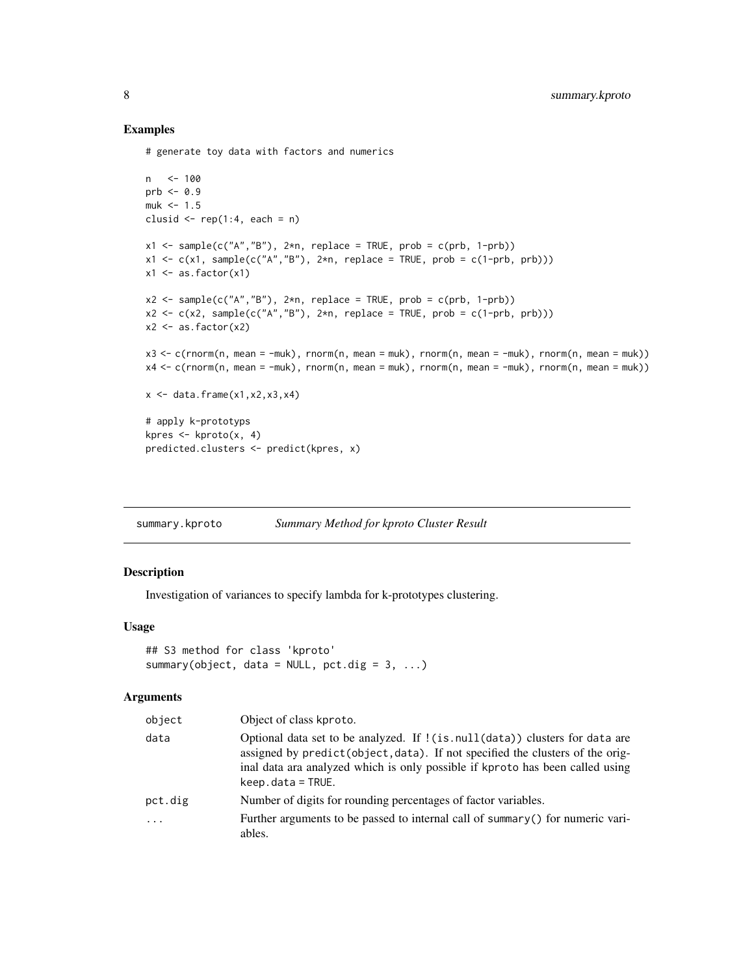## Examples

# generate toy data with factors and numerics

```
n <- 100
prb \le 0.9muk < -1.5clusid \leq rep(1:4, each = n)
x1 \le - sample(c("A","B"), 2*n, replace = TRUE, prob = c(prb, 1-prb))
x1 \leftarrow c(x1, sample(c("A", "B"), 2*n, replace = TRUE, prob = c(1-prob, prob)))x1 \leftarrow as.factor(x1)x2 <- sample(c("A","B"), 2*n, replace = TRUE, prob = c(prb, 1-prb))
x2 \leq c(x2, sample(c("A", "B"), 2*n, replace = TRUE, prob = c(1-prob, prob)))x2 \leftarrow as.factor(x2)x3 < -c (rnorm(n, mean = -muk), rnorm(n, mean = muk), rnorm(n, mean = -muk), rnorm(n, mean = muk))
x4 \leq c (rnorm(n, mean = -muk), rnorm(n, mean = muk), rnorm(n, mean = -muk), rnorm(n, mean = muk))
x \leftarrow \text{data}. frame(x1, x2, x3, x4)
# apply k-prototyps
kpres \leq kproto(x, 4)predicted.clusters <- predict(kpres, x)
```
summary.kproto *Summary Method for kproto Cluster Result*

## Description

Investigation of variances to specify lambda for k-prototypes clustering.

## Usage

```
## S3 method for class 'kproto'
summary(object, data = NULL, pct.dig = 3, ...)
```
## Arguments

| object   | Object of class kproto.                                                                                                                                                                                                                                                  |
|----------|--------------------------------------------------------------------------------------------------------------------------------------------------------------------------------------------------------------------------------------------------------------------------|
| data     | Optional data set to be analyzed. If ! (is. null (data)) clusters for data are<br>assigned by predict (object, data). If not specified the clusters of the orig-<br>inal data ara analyzed which is only possible if kproto has been called using<br>$keep.data = TRUE.$ |
| pct.dig  | Number of digits for rounding percentages of factor variables.                                                                                                                                                                                                           |
| $\cdots$ | Further arguments to be passed to internal call of summary () for numeric vari-<br>ables.                                                                                                                                                                                |

<span id="page-7-0"></span>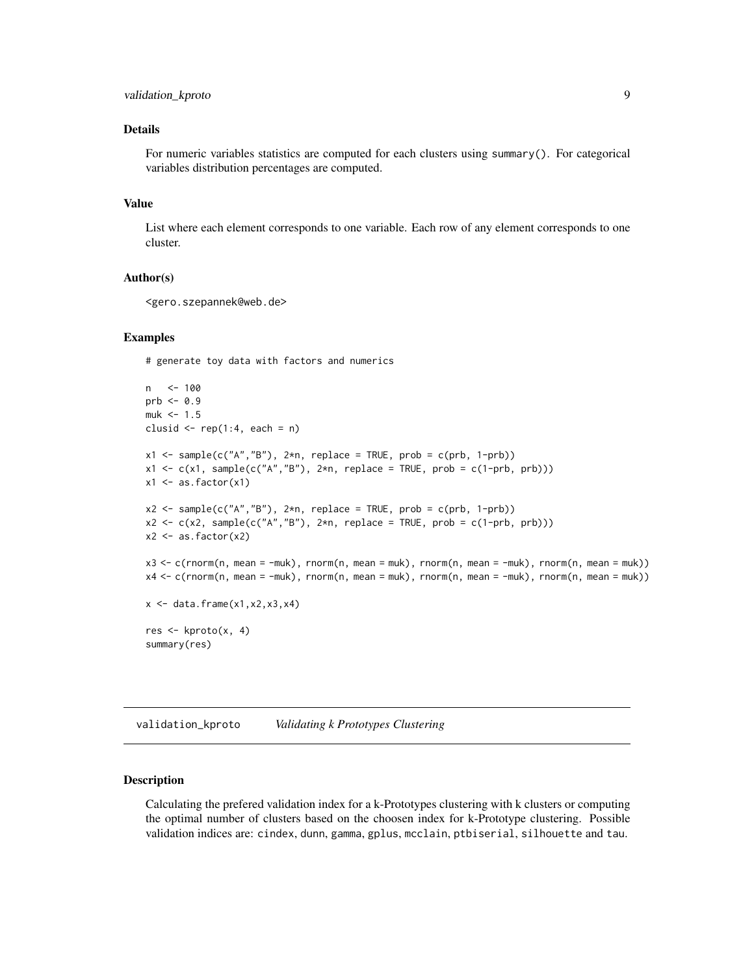## <span id="page-8-0"></span>Details

For numeric variables statistics are computed for each clusters using summary(). For categorical variables distribution percentages are computed.

#### Value

List where each element corresponds to one variable. Each row of any element corresponds to one cluster.

## Author(s)

<gero.szepannek@web.de>

#### Examples

# generate toy data with factors and numerics

```
n <- 100
prb < -0.9muk < -1.5clusid \leq rep(1:4, each = n)
x1 \leftarrow sample(c("A", "B"), 2*n, replace = TRUE, prob = c(prb, 1-prob))x1 \leftarrow c(x1, sample(c("A", "B"), 2*n, replace = TRUE, prob = c(1-prob, prob)))x1 \leftarrow as.factor(x1)x2 \leq - sample(c("A","B"), 2 \nless n, replace = TRUE, prob = c(prb, 1-prb))
x2 \leq c(x2, sample(c("A", "B"), 2*n, replace = TRUE, prob = c(1-prob, prob)))x2 \leftarrow as.factor(x2)x3 <- c(rnorm(n, mean = -muk), rnorm(n, mean = muk), rnorm(n, mean = -muk), rnorm(n, mean = muk))
x4 <- c(rnorm(n, mean = -muk), rnorm(n, mean = muk), rnorm(n, mean = -muk), rnorm(n, mean = muk))
x \leftarrow \text{data-frame}(x1, x2, x3, x4)res <- kproto(x, 4)
summary(res)
```
validation\_kproto *Validating k Prototypes Clustering*

#### **Description**

Calculating the prefered validation index for a k-Prototypes clustering with k clusters or computing the optimal number of clusters based on the choosen index for k-Prototype clustering. Possible validation indices are: cindex, dunn, gamma, gplus, mcclain, ptbiserial, silhouette and tau.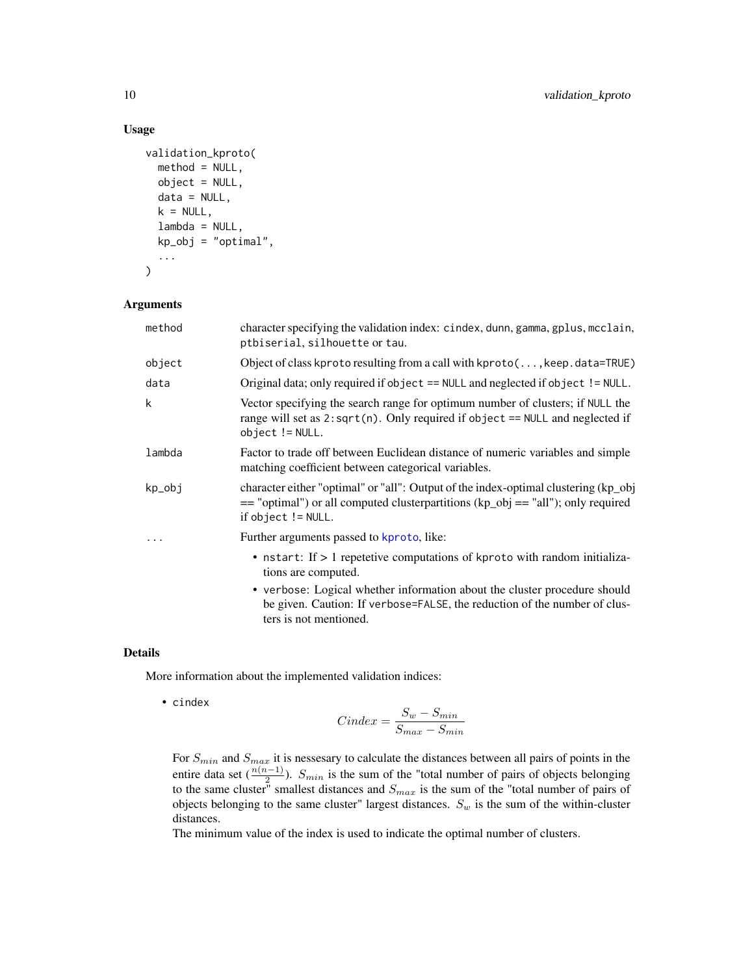## Usage

```
validation_kproto(
 method = NULL,object = NULL,
 data = NULL,k = NULL,lambda = NULL,kp_obj = "optimal",
  ...
)
```
## Arguments

| character specifying the validation index: cindex, dunn, gamma, gplus, mcclain,                                                                                           |
|---------------------------------------------------------------------------------------------------------------------------------------------------------------------------|
| Object of class kproto resulting from a call with kproto( $\dots$ , keep. data=TRUE)                                                                                      |
| Original data; only required if object $==$ NULL and neglected if object $!=$ NULL.                                                                                       |
| Vector specifying the search range for optimum number of clusters; if NULL the<br>range will set as $2:sqrt(n)$ . Only required if object == NULL and neglected if        |
| Factor to trade off between Euclidean distance of numeric variables and simple                                                                                            |
| character either "optimal" or "all": Output of the index-optimal clustering (kp_obj<br>$=$ "optimal") or all computed clusterpartitions (kp_obj $=$ "all"); only required |
|                                                                                                                                                                           |
| • nstart: If > 1 repetetive computations of kproto with random initializa-                                                                                                |
| • verbose: Logical whether information about the cluster procedure should<br>be given. Caution: If verbose=FALSE, the reduction of the number of clus-                    |
|                                                                                                                                                                           |

#### Details

More information about the implemented validation indices:

• cindex

$$
Cindex = \frac{S_w - S_{min}}{S_{max} - S_{min}}
$$

For  $S_{min}$  and  $S_{max}$  it is nessesary to calculate the distances between all pairs of points in the entire data set  $(\frac{n(n-1)}{2})$ .  $S_{min}$  is the sum of the "total number of pairs of objects belonging to the same cluster" smallest distances and  $S_{max}$  is the sum of the "total number of pairs of objects" objects belonging to the same cluster" largest distances.  $S_w$  is the sum of the within-cluster distances.

The minimum value of the index is used to indicate the optimal number of clusters.

<span id="page-9-0"></span>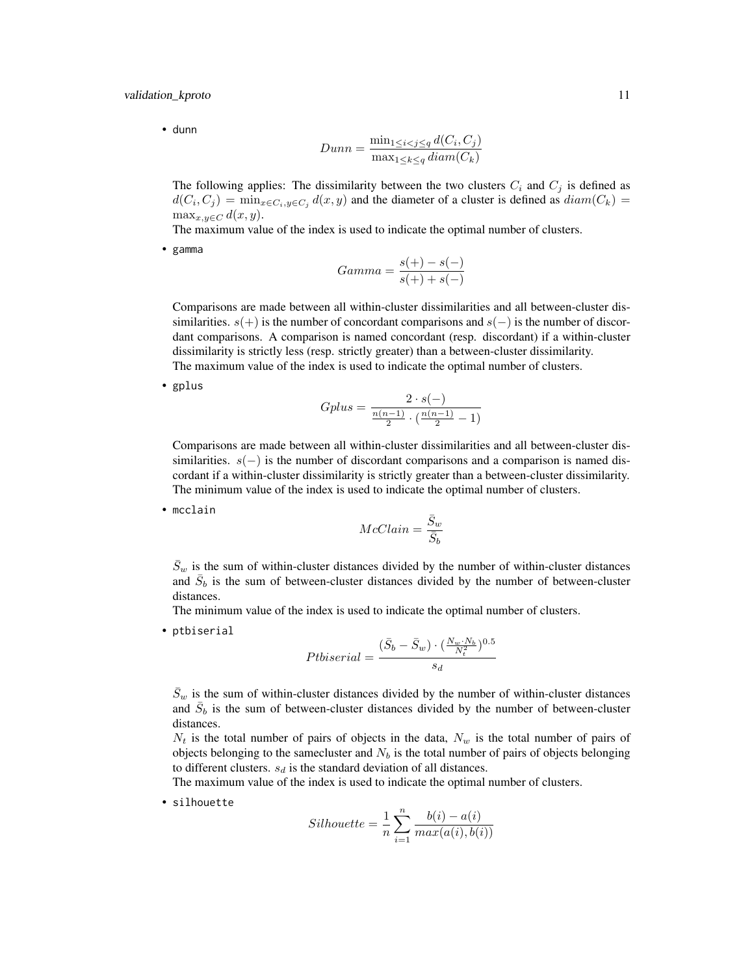• dunn

$$
Dunn = \frac{\min_{1 \le i < j \le q} d(C_i, C_j)}{\max_{1 \le k \le q} diam(C_k)}
$$

The following applies: The dissimilarity between the two clusters  $C_i$  and  $C_j$  is defined as  $d(C_i, C_j) = \min_{x \in C_i, y \in C_j} d(x, y)$  and the diameter of a cluster is defined as  $diam(C_k) =$  $\max_{x,y\in C} d(x,y).$ 

The maximum value of the index is used to indicate the optimal number of clusters.

• gamma

$$
Gamma = \frac{s(+) - s(-)}{s(+) + s(-)}
$$

Comparisons are made between all within-cluster dissimilarities and all between-cluster dissimilarities.  $s(+)$  is the number of concordant comparisons and  $s(-)$  is the number of discordant comparisons. A comparison is named concordant (resp. discordant) if a within-cluster dissimilarity is strictly less (resp. strictly greater) than a between-cluster dissimilarity. The maximum value of the index is used to indicate the optimal number of clusters.

• gplus

Gplus = 
$$
\frac{2 \cdot s(-)}{\frac{n(n-1)}{2} \cdot (\frac{n(n-1)}{2} - 1)}
$$

Comparisons are made between all within-cluster dissimilarities and all between-cluster dissimilarities.  $s(-)$  is the number of discordant comparisons and a comparison is named discordant if a within-cluster dissimilarity is strictly greater than a between-cluster dissimilarity. The minimum value of the index is used to indicate the optimal number of clusters.

• mcclain

$$
McClaim = \frac{\bar{S}_w}{\bar{S}_b}
$$

 $\bar{S}_w$  is the sum of within-cluster distances divided by the number of within-cluster distances and  $\bar{S}_b$  is the sum of between-cluster distances divided by the number of between-cluster distances.

The minimum value of the index is used to indicate the optimal number of clusters.

• ptbiserial

$$
Ptbiserial = \frac{(\bar{S}_b - \bar{S}_w) \cdot (\frac{N_w \cdot N_b}{N_t^2})^{0.5}}{s_d}
$$

 $\bar{S}_w$  is the sum of within-cluster distances divided by the number of within-cluster distances and  $\bar{S}_b$  is the sum of between-cluster distances divided by the number of between-cluster distances.

 $N_t$  is the total number of pairs of objects in the data,  $N_w$  is the total number of pairs of objects belonging to the samecluster and  $N<sub>b</sub>$  is the total number of pairs of objects belonging to different clusters.  $s_d$  is the standard deviation of all distances.

The maximum value of the index is used to indicate the optimal number of clusters.

• silhouette

$$
Silhouette = \frac{1}{n}\sum_{i=1}^{n} \frac{b(i) - a(i)}{max(a(i), b(i))}
$$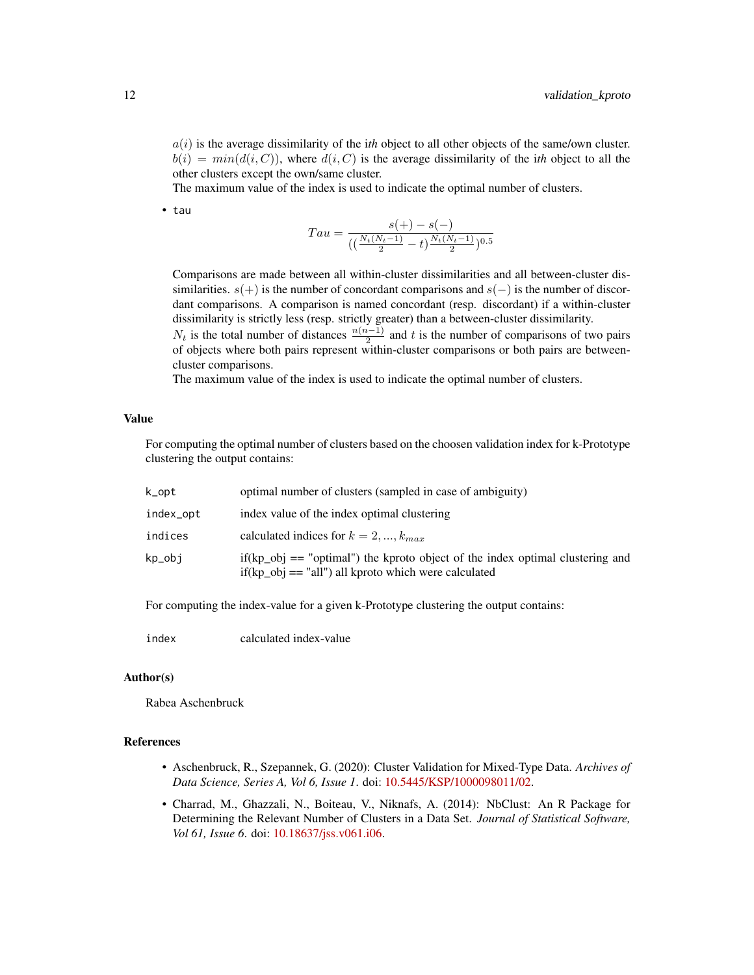$a(i)$  is the average dissimilarity of the *ith* object to all other objects of the same/own cluster.  $b(i) = min(d(i, C))$ , where  $d(i, C)$  is the average dissimilarity of the *ith* object to all the other clusters except the own/same cluster.

The maximum value of the index is used to indicate the optimal number of clusters.

• tau

$$
Tau = \frac{s(+) - s(-)}{(\left(\frac{N_t(N_t - 1)}{2} - t\right)\frac{N_t(N_t - 1)}{2})^{0.5}}
$$

Comparisons are made between all within-cluster dissimilarities and all between-cluster dissimilarities.  $s(+)$  is the number of concordant comparisons and  $s(-)$  is the number of discordant comparisons. A comparison is named concordant (resp. discordant) if a within-cluster dissimilarity is strictly less (resp. strictly greater) than a between-cluster dissimilarity.

 $N_t$  is the total number of distances  $\frac{n(n-1)}{2}$  and t is the number of comparisons of two pairs of objects where both pairs represent within-cluster comparisons or both pairs are betweencluster comparisons.

The maximum value of the index is used to indicate the optimal number of clusters.

## Value

For computing the optimal number of clusters based on the choosen validation index for k-Prototype clustering the output contains:

| k_opt     | optimal number of clusters (sampled in case of ambiguity)                                                                                 |
|-----------|-------------------------------------------------------------------------------------------------------------------------------------------|
| index_opt | index value of the index optimal clustering                                                                                               |
| indices   | calculated indices for $k = 2, , k_{max}$                                                                                                 |
| kp_obj    | $if(kp_obj == "optimal")$ the kproto object of the index optimal clustering and<br>$if(kp_obj == "all")$ all kproto which were calculated |

For computing the index-value for a given k-Prototype clustering the output contains:

index calculated index-value

## Author(s)

Rabea Aschenbruck

## References

- Aschenbruck, R., Szepannek, G. (2020): Cluster Validation for Mixed-Type Data. *Archives of Data Science, Series A, Vol 6, Issue 1*. doi: [10.5445/KSP/1000098011/02.](https://doi.org/10.5445/KSP/1000098011/02)
- Charrad, M., Ghazzali, N., Boiteau, V., Niknafs, A. (2014): NbClust: An R Package for Determining the Relevant Number of Clusters in a Data Set. *Journal of Statistical Software, Vol 61, Issue 6*. doi: [10.18637/jss.v061.i06.](https://doi.org/10.18637/jss.v061.i06)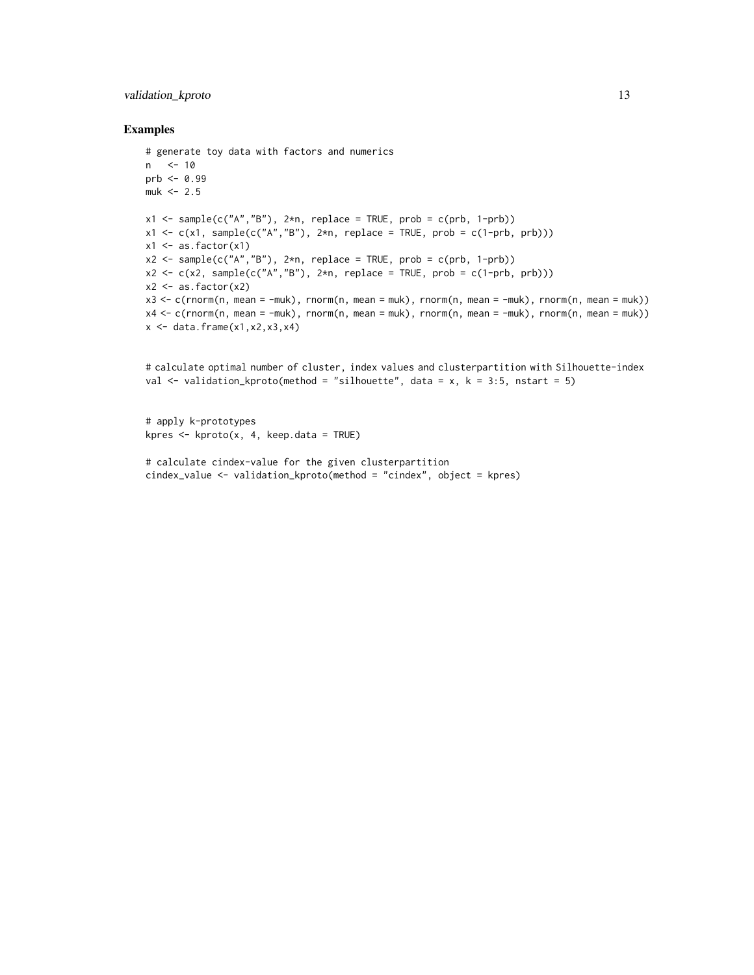## validation\_kproto 13

## Examples

```
# generate toy data with factors and numerics
n <- 10
prb \le 0.99muk < -2.5x1 \leq - sample(c("A","B"), 2*n, replace = TRUE, prob = c(prb, 1-prb))
x1 \leftarrow c(x1, sample(c("A", "B"), 2*n, replace = TRUE, prob = c(1-prob, prob)))x1 \leftarrow as.factor(x1)x2 \leq - sample(c("A","B"), 2 \nless n, replace = TRUE, prob = c(prb, 1-prb))
x2 \leq c(x2, sample(c("A", "B"), 2*n, replace = TRUE, prob = c(1-prob, prob)))x2 \leftarrow as.factor(x2)x3 <- c(rnorm(n, mean = -muk), rnorm(n, mean = muk), rnorm(n, mean = -muk), rnorm(n, mean = muk))
x4 <- c(rnorm(n, mean = -muk), rnorm(n, mean = muk), rnorm(n, mean = -muk), rnorm(n, mean = muk))
x \leftarrow \text{data}. frame(x1, x2, x3, x4)
```

```
# calculate optimal number of cluster, index values and clusterpartition with Silhouette-index
val \le- validation_kproto(method = "silhouette", data = x, k = 3:5, nstart = 5)
```

```
# apply k-prototypes
kpres \leq kproto(x, 4, keep.data = TRUE)
```

```
# calculate cindex-value for the given clusterpartition
cindex_value <- validation_kproto(method = "cindex", object = kpres)
```